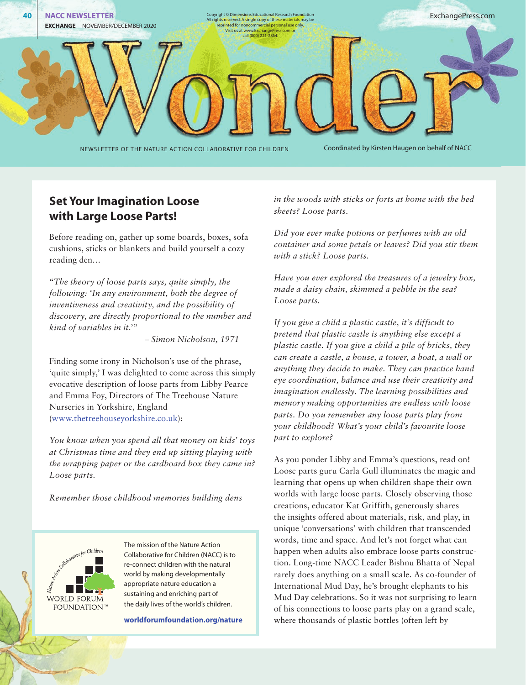

## **Set Your Imagination Loose with Large Loose Parts!**

Before reading on, gather up some boards, boxes, sofa cushions, sticks or blankets and build yourself a cozy reading den…

"*The theory of loose parts says, quite simply, the following: 'In any environment, both the degree of inventiveness and creativity, and the possibility of discovery, are directly proportional to the number and kind of variables in it.*'"

– *Simon Nicholson, 1971*

Finding some irony in Nicholson's use of the phrase, 'quite simply,' I was delighted to come across this simply evocative description of loose parts from Libby Pearce and Emma Foy, Directors of The Treehouse Nature Nurseries in Yorkshire, England ([www.thetreehouseyorkshire.co.uk\)](http://www.thetreehouseyorkshire.co.uk):

*You know when you spend all that money on kids' toys at Christmas time and they end up sitting playing with the wrapping paper or the cardboard box they came in? Loose parts.* 

*Remember those childhood memories building dens* 



ß

The mission of the Nature Action Collaborative for Children (NACC) is to re-connect children with the natural world by making developmentally appropriate nature education a sustaining and enriching part of the daily lives of the world's children.

**worldforumfoundation.org/nature**

*in the woods with sticks or forts at home with the bed sheets? Loose parts.* 

*Did you ever make potions or perfumes with an old container and some petals or leaves? Did you stir them with a stick? Loose parts.* 

*Have you ever explored the treasures of a jewelry box, made a daisy chain, skimmed a pebble in the sea? Loose parts.* 

*If you give a child a plastic castle, it's difficult to pretend that plastic castle is anything else except a plastic castle. If you give a child a pile of bricks, they can create a castle, a house, a tower, a boat, a wall or anything they decide to make. They can practice hand eye coordination, balance and use their creativity and imagination endlessly. The learning possibilities and memory making opportunities are endless with loose parts. Do you remember any loose parts play from your childhood? What's your child's favourite loose part to explore?*

As you ponder Libby and Emma's questions, read on! Loose parts guru Carla Gull illuminates the magic and learning that opens up when children shape their own worlds with large loose parts. Closely observing those creations, educator Kat Griffith, generously shares the insights offered about materials, risk, and play, in unique 'conversations' with children that transcended words, time and space. And let's not forget what can happen when adults also embrace loose parts construction. Long-time NACC Leader Bishnu Bhatta of Nepal rarely does anything on a small scale. As co-founder of International Mud Day, he's brought elephants to his Mud Day celebrations. So it was not surprising to learn of his connections to loose parts play on a grand scale, where thousands of plastic bottles (often left by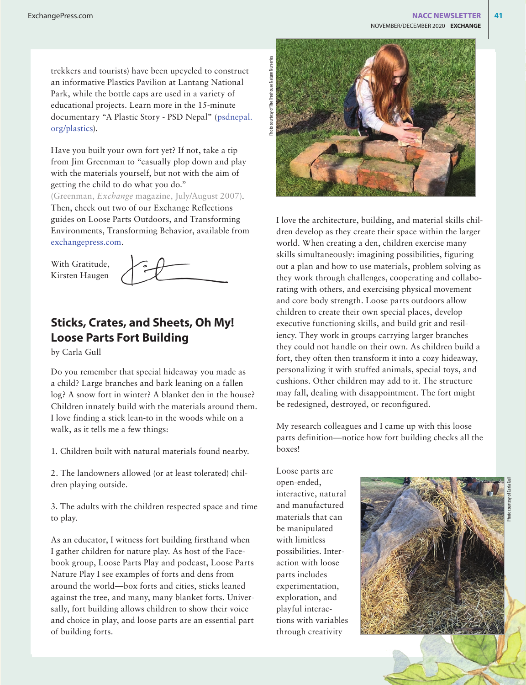trekkers and tourists) have been upcycled to construct an informative Plastics Pavilion at Lantang National Park, while the bottle caps are used in a variety of educational projects. Learn more in the 15-minute documentary "A Plastic Story - PSD Nepal" ([psdnepal.](http://www.psdnepal.org/plastics) [org/plastics\)](http://www.psdnepal.org/plastics).

Have you built your own fort yet? If not, take a tip from Jim Greenman to "casually plop down and play with the materials yourself, but not with the aim of getting the child to do what you do."

(Greenman, *Exchange* magazine, July/August 2007). Then, check out two of our Exchange Reflections guides on Loose Parts Outdoors, and Transforming Environments, Transforming Behavior, available from [exchangepress.com](http://exchangepress.com).

With Gratitude, Kirsten Haugen



# **Sticks, Crates, and Sheets, Oh My! Loose Parts Fort Building**

by Carla Gull

Do you remember that special hideaway you made as a child? Large branches and bark leaning on a fallen log? A snow fort in winter? A blanket den in the house? Children innately build with the materials around them. I love finding a stick lean-to in the woods while on a walk, as it tells me a few things:

1. Children built with natural materials found nearby.

2. The landowners allowed (or at least tolerated) children playing outside.

3. The adults with the children respected space and time to play.

As an educator, I witness fort building firsthand when I gather children for nature play. As host of the Facebook group, Loose Parts Play and podcast, Loose Parts Nature Play I see examples of forts and dens from around the world—box forts and cities, sticks leaned against the tree, and many, many blanket forts. Universally, fort building allows children to show their voice and choice in play, and loose parts are an essential part of building forts.



I love the architecture, building, and material skills children develop as they create their space within the larger world. When creating a den, children exercise many skills simultaneously: imagining possibilities, figuring out a plan and how to use materials, problem solving as they work through challenges, cooperating and collaborating with others, and exercising physical movement and core body strength. Loose parts outdoors allow children to create their own special places, develop executive functioning skills, and build grit and resiliency. They work in groups carrying larger branches they could not handle on their own. As children build a fort, they often then transform it into a cozy hideaway, personalizing it with stuffed animals, special toys, and cushions. Other children may add to it. The structure may fall, dealing with disappointment. The fort might be redesigned, destroyed, or reconfigured.

My research colleagues and I came up with this loose parts definition—notice how fort building checks all the boxes!

Loose parts are open-ended, interactive, natural and manufactured materials that can be manipulated with limitless possibilities. Interaction with loose parts includes experimentation, exploration, and playful interactions with variables through creativity

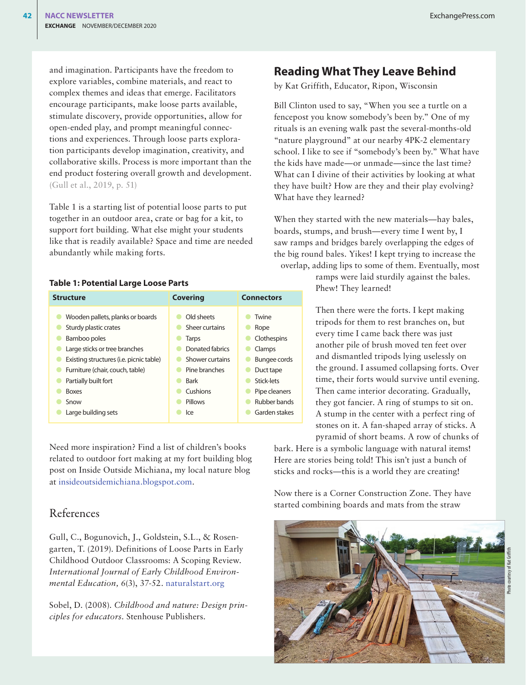and imagination. Participants have the freedom to explore variables, combine materials, and react to complex themes and ideas that emerge. Facilitators encourage participants, make loose parts available, stimulate discovery, provide opportunities, allow for open-ended play, and prompt meaningful connections and experiences. Through loose parts exploration participants develop imagination, creativity, and collaborative skills. Process is more important than the end product fostering overall growth and development. (Gull et al., 2019, p. 51)

Table 1 is a starting list of potential loose parts to put together in an outdoor area, crate or bag for a kit, to support fort building. What else might your students like that is readily available? Space and time are needed abundantly while making forts.

#### **Table 1: Potential Large Loose Parts**

| <b>Structure</b>                        | <b>Covering</b> | <b>Connectors</b>   |
|-----------------------------------------|-----------------|---------------------|
| Wooden pallets, planks or boards        | Old sheets      | Twine               |
| Sturdy plastic crates                   | Sheer curtains  | Rope                |
| Bamboo poles                            | Tarps           | Clothespins         |
| Large sticks or tree branches           | Donated fabrics | Clamps              |
| Existing structures (i.e. picnic table) | Shower curtains | <b>Bungee cords</b> |
| Furniture (chair, couch, table)         | Pine branches   | Duct tape           |
| Partially built fort                    | <b>Bark</b>     | Stick-lets          |
| <b>Boxes</b>                            | Cushions        | Pipe cleaners       |
| Snow                                    | Pillows         | Rubber bands        |
| Large building sets                     | lce             | Garden stakes       |

Need more inspiration? Find a list of children's books related to outdoor fort making at my fort building blog post on Inside Outside Michiana, my local nature blog at [insideoutsidemichiana.blogspot.com](http://insideoutsidemichiana.blogspot.com).

#### References

Gull, C., Bogunovich, J., Goldstein, S.L., & Rosengarten, T. (2019). Definitions of Loose Parts in Early Childhood Outdoor Classrooms: A Scoping Review. *International Journal of Early Childhood Environmental Education, 6*(3), 37-52. [naturalstart.org](https://naturalstart.org)

Sobel, D. (2008). *Childhood and nature: Design principles for educators.* Stenhouse Publishers.

## **Reading What They Leave Behind**

by Kat Griffith, Educator, Ripon, Wisconsin

Bill Clinton used to say, "When you see a turtle on a fencepost you know somebody's been by." One of my rituals is an evening walk past the several-months-old "nature playground" at our nearby 4PK-2 elementary school. I like to see if "somebody's been by." What have the kids have made—or unmade—since the last time? What can I divine of their activities by looking at what they have built? How are they and their play evolving? What have they learned?

When they started with the new materials—hay bales, boards, stumps, and brush—every time I went by, I saw ramps and bridges barely overlapping the edges of the big round bales. Yikes! I kept trying to increase the overlap, adding lips to some of them. Eventually, most

> ramps were laid sturdily against the bales. Phew! They learned!

Then there were the forts. I kept making tripods for them to rest branches on, but every time I came back there was just another pile of brush moved ten feet over and dismantled tripods lying uselessly on the ground. I assumed collapsing forts. Over time, their forts would survive until evening. Then came interior decorating. Gradually, they got fancier. A ring of stumps to sit on. A stump in the center with a perfect ring of stones on it. A fan-shaped array of sticks. A pyramid of short beams. A row of chunks of

bark. Here is a symbolic language with natural items! Here are stories being told! This isn't just a bunch of sticks and rocks—this is a world they are creating!

Now there is a Corner Construction Zone. They have started combining boards and mats from the straw